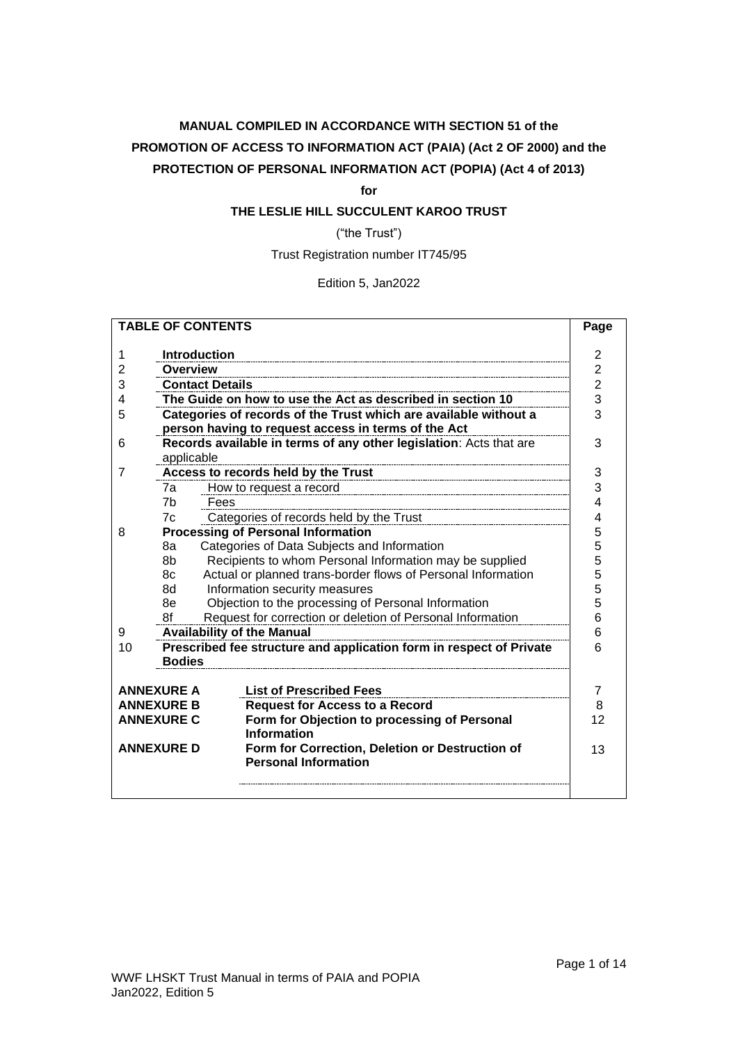# **MANUAL COMPILED IN ACCORDANCE WITH SECTION 51 of the PROMOTION OF ACCESS TO INFORMATION ACT (PAIA) (Act 2 OF 2000) and the PROTECTION OF PERSONAL INFORMATION ACT (POPIA) (Act 4 of 2013)**

**for**

# **THE LESLIE HILL SUCCULENT KAROO TRUST**

("the Trust")

Trust Registration number IT745/95

Edition 5, Jan2022

| <b>TABLE OF CONTENTS</b> |                                                                  |                                                                     | Page                    |  |  |
|--------------------------|------------------------------------------------------------------|---------------------------------------------------------------------|-------------------------|--|--|
|                          |                                                                  |                                                                     | $\overline{\mathbf{c}}$ |  |  |
| 1                        |                                                                  | <b>Introduction</b>                                                 |                         |  |  |
| 2                        |                                                                  | <b>Overview</b>                                                     |                         |  |  |
| 3                        |                                                                  | <b>Contact Details</b>                                              | $\overline{c}$          |  |  |
| 4                        |                                                                  | The Guide on how to use the Act as described in section 10          | 3                       |  |  |
| 5                        |                                                                  | Categories of records of the Trust which are available without a    | 3                       |  |  |
|                          |                                                                  | person having to request access in terms of the Act                 |                         |  |  |
| 6                        |                                                                  | Records available in terms of any other legislation: Acts that are  | 3                       |  |  |
|                          | applicable                                                       |                                                                     |                         |  |  |
| 7                        |                                                                  | Access to records held by the Trust                                 | 3                       |  |  |
|                          | 7a                                                               | How to request a record                                             | 3                       |  |  |
|                          | 7 <sub>b</sub>                                                   | Fees                                                                | 4                       |  |  |
|                          | 7c                                                               | Categories of records held by the Trust                             | 4                       |  |  |
| 8                        |                                                                  | <b>Processing of Personal Information</b>                           | 5                       |  |  |
|                          | 8а                                                               | Categories of Data Subjects and Information                         | 5                       |  |  |
|                          | 8b                                                               | Recipients to whom Personal Information may be supplied             | 5                       |  |  |
|                          | 8c                                                               | Actual or planned trans-border flows of Personal Information        | 5                       |  |  |
|                          | 8d                                                               | Information security measures                                       | 5                       |  |  |
|                          | 8e                                                               | Objection to the processing of Personal Information                 | 5                       |  |  |
|                          | Request for correction or deletion of Personal Information<br>8f |                                                                     |                         |  |  |
| 9                        |                                                                  | <b>Availability of the Manual</b>                                   | 6                       |  |  |
| 10                       |                                                                  | Prescribed fee structure and application form in respect of Private | 6                       |  |  |
|                          | <b>Bodies</b>                                                    |                                                                     |                         |  |  |
|                          |                                                                  |                                                                     |                         |  |  |
|                          | <b>ANNEXURE A</b>                                                | <b>List of Prescribed Fees</b>                                      | $\overline{7}$          |  |  |
|                          | <b>ANNEXURE B</b>                                                | <b>Request for Access to a Record</b>                               | 8                       |  |  |
| <b>ANNEXURE C</b>        |                                                                  | Form for Objection to processing of Personal                        | 12                      |  |  |
|                          |                                                                  | <b>Information</b>                                                  |                         |  |  |
| <b>ANNEXURE D</b>        |                                                                  | Form for Correction, Deletion or Destruction of                     | 13                      |  |  |
|                          |                                                                  | <b>Personal Information</b>                                         |                         |  |  |
|                          |                                                                  |                                                                     |                         |  |  |
|                          |                                                                  |                                                                     |                         |  |  |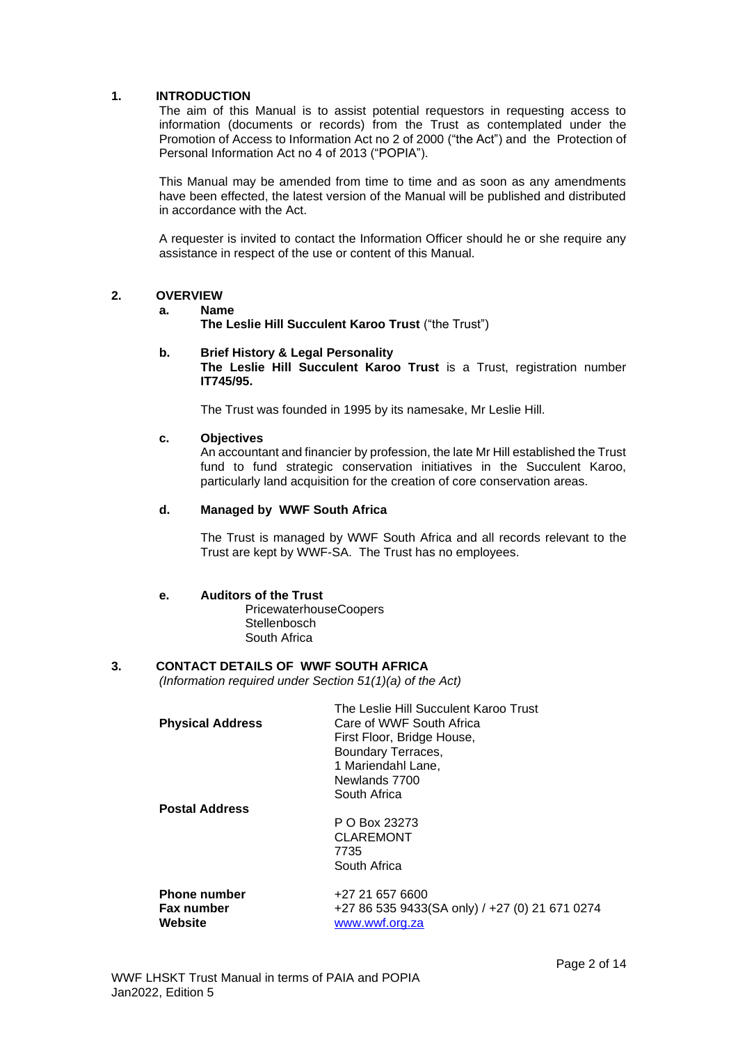### <span id="page-1-0"></span>**1. INTRODUCTION**

The aim of this Manual is to assist potential requestors in requesting access to information (documents or records) from the Trust as contemplated under the Promotion of Access to Information Act no 2 of 2000 ("the Act") and the Protection of Personal Information Act no 4 of 2013 ("POPIA").

This Manual may be amended from time to time and as soon as any amendments have been effected, the latest version of the Manual will be published and distributed in accordance with the Act.

A requester is invited to contact the Information Officer should he or she require any assistance in respect of the use or content of this Manual.

#### <span id="page-1-1"></span>**2. OVERVIEW**

#### **a. Name**

**The Leslie Hill Succulent Karoo Trust** ("the Trust")

#### **b. Brief History & Legal Personality**

**The Leslie Hill Succulent Karoo Trust** is a Trust, registration number **IT745/95.** 

The Trust was founded in 1995 by its namesake, Mr Leslie Hill.

#### **c. Objectives**

An accountant and financier by profession, the late Mr Hill established the Trust fund to fund strategic conservation initiatives in the Succulent Karoo, particularly land acquisition for the creation of core conservation areas.

### **d. Managed by WWF South Africa**

The Trust is managed by WWF South Africa and all records relevant to the Trust are kept by WWF-SA. The Trust has no employees.

#### **e. Auditors of the Trust**

PricewaterhouseCoopers **Stellenbosch** South Africa

### <span id="page-1-2"></span>**3. CONTACT DETAILS OF WWF SOUTH AFRICA**

*(Information required under Section 51(1)(a) of the Act)*

|                         | The Leslie Hill Succulent Karoo Trust          |
|-------------------------|------------------------------------------------|
| <b>Physical Address</b> | Care of WWF South Africa                       |
|                         | First Floor, Bridge House,                     |
|                         | Boundary Terraces,                             |
|                         | 1 Mariendahl Lane,                             |
|                         | Newlands 7700                                  |
|                         | South Africa                                   |
| <b>Postal Address</b>   |                                                |
|                         | P O Box 23273                                  |
|                         | <b>CLAREMONT</b>                               |
|                         | 7735                                           |
|                         | South Africa                                   |
| <b>Phone number</b>     | +27 21 657 6600                                |
| <b>Fax number</b>       | +27 86 535 9433(SA only) / +27 (0) 21 671 0274 |
| Website                 | www.wwf.org.za                                 |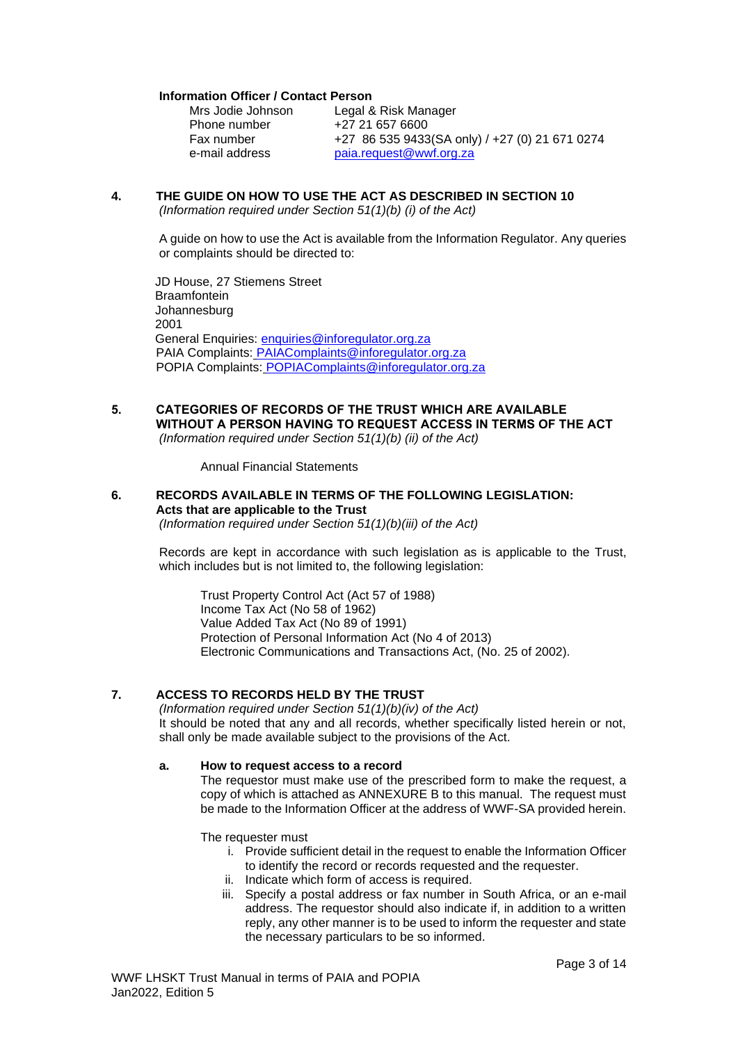#### **Information Officer / Contact Person**

| Mrs Jodie Johnson | Legal & Risk Manager                           |
|-------------------|------------------------------------------------|
| Phone number      | +27 21 657 6600                                |
| Fax number        | +27 86 535 9433(SA only) / +27 (0) 21 671 0274 |
| e-mail address    | paia.request@wwf.org.za                        |

# <span id="page-2-0"></span>**4. THE GUIDE ON HOW TO USE THE ACT AS DESCRIBED IN SECTION 10**

*(Information required under Section 51(1)(b) (i) of the Act)*

A guide on how to use the Act is available from the Information Regulator. Any queries or complaints should be directed to:

JD House, 27 Stiemens Street **Braamfontein** Johannesburg 2001 General Enquiries: [enquiries@inforegulator.org.za](mailto:enquiries@inforegulator.org.za) PAIA Complaints: [PAIAComplaints@inforegulator.org.za](mailto:PAIAComplaints@inforegulator.org.za) POPIA Complaints: POPIAComplaints@inforegulator.org.za

#### <span id="page-2-1"></span>**5. CATEGORIES OF RECORDS OF THE TRUST WHICH ARE AVAILABLE WITHOUT A PERSON HAVING TO REQUEST ACCESS IN TERMS OF THE ACT** *(Information required under Section 51(1)(b) (ii) of the Act)*

Annual Financial Statements

### <span id="page-2-2"></span>**6. RECORDS AVAILABLE IN TERMS OF THE FOLLOWING LEGISLATION: Acts that are applicable to the Trust**

*(Information required under Section 51(1)(b)(iii) of the Act)*

Records are kept in accordance with such legislation as is applicable to the Trust, which includes but is not limited to, the following legislation:

Trust Property Control Act (Act 57 of 1988) Income Tax Act (No 58 of 1962) Value Added Tax Act (No 89 of 1991) Protection of Personal Information Act (No 4 of 2013) Electronic Communications and Transactions Act, (No. 25 of 2002).

## <span id="page-2-3"></span>**7. ACCESS TO RECORDS HELD BY THE TRUST**

*(Information required under Section 51(1)(b)(iv) of the Act)* It should be noted that any and all records, whether specifically listed herein or not, shall only be made available subject to the provisions of the Act.

### <span id="page-2-4"></span>**a. How to request access to a record**

The requestor must make use of the prescribed form to make the request, a copy of which is attached as ANNEXURE B to this manual. The request must be made to the Information Officer at the address of WWF-SA provided herein.

The requester must

- i. Provide sufficient detail in the request to enable the Information Officer to identify the record or records requested and the requester.
- ii. Indicate which form of access is required.
- iii. Specify a postal address or fax number in South Africa, or an e-mail address. The requestor should also indicate if, in addition to a written reply, any other manner is to be used to inform the requester and state the necessary particulars to be so informed.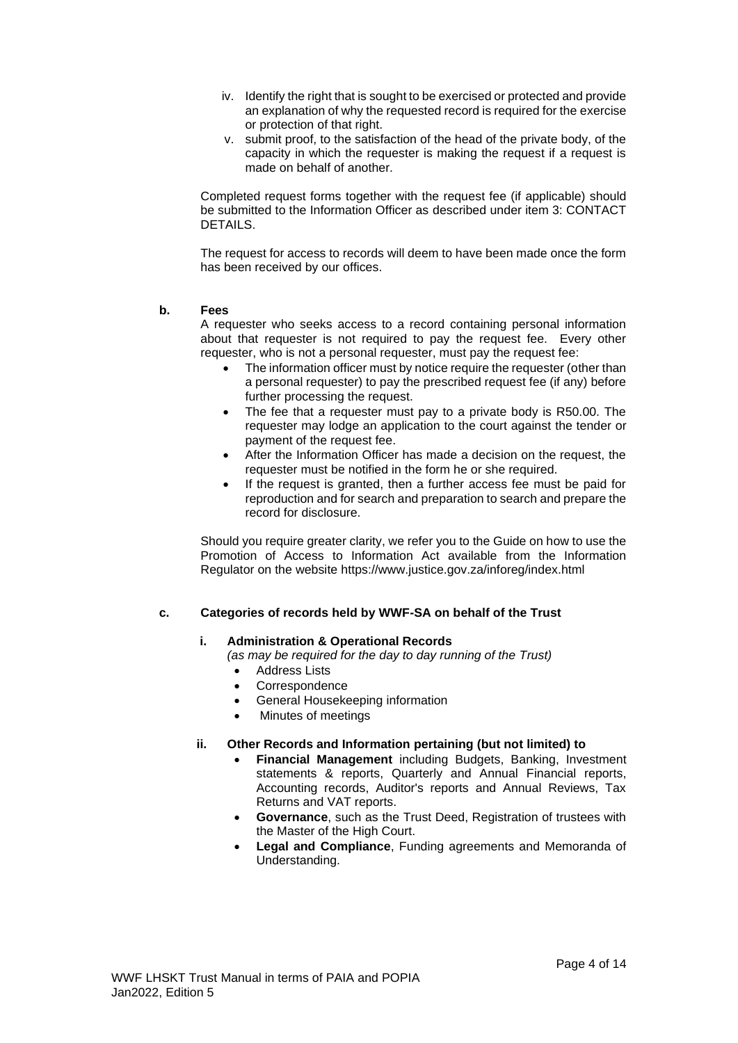- iv. Identify the right that is sought to be exercised or protected and provide an explanation of why the requested record is required for the exercise or protection of that right.
- v. submit proof, to the satisfaction of the head of the private body, of the capacity in which the requester is making the request if a request is made on behalf of another.

Completed request forms together with the request fee (if applicable) should be submitted to the Information Officer as described under item 3: CONTACT DETAILS.

The request for access to records will deem to have been made once the form has been received by our offices.

### <span id="page-3-0"></span>**b. Fees**

A requester who seeks access to a record containing personal information about that requester is not required to pay the request fee. Every other requester, who is not a personal requester, must pay the request fee:

- The information officer must by notice require the requester (other than a personal requester) to pay the prescribed request fee (if any) before further processing the request.
- The fee that a requester must pay to a private body is R50.00. The requester may lodge an application to the court against the tender or payment of the request fee.
- After the Information Officer has made a decision on the request, the requester must be notified in the form he or she required.
- If the request is granted, then a further access fee must be paid for reproduction and for search and preparation to search and prepare the record for disclosure.

Should you require greater clarity, we refer you to the Guide on how to use the Promotion of Access to Information Act available from the Information Regulator on the website https://www.justice.gov.za/inforeg/index.html

### <span id="page-3-1"></span>**c. Categories of records held by WWF-SA on behalf of the Trust**

#### **i. Administration & Operational Records**

*(as may be required for the day to day running of the Trust)*

- Address Lists
- **Correspondence**
- General Housekeeping information
- Minutes of meetings

#### **ii. Other Records and Information pertaining (but not limited) to**

- **Financial Management** including Budgets, Banking, Investment statements & reports, Quarterly and Annual Financial reports, Accounting records, Auditor's reports and Annual Reviews, Tax Returns and VAT reports.
- **Governance**, such as the Trust Deed, Registration of trustees with the Master of the High Court.
- **Legal and Compliance**, Funding agreements and Memoranda of Understanding.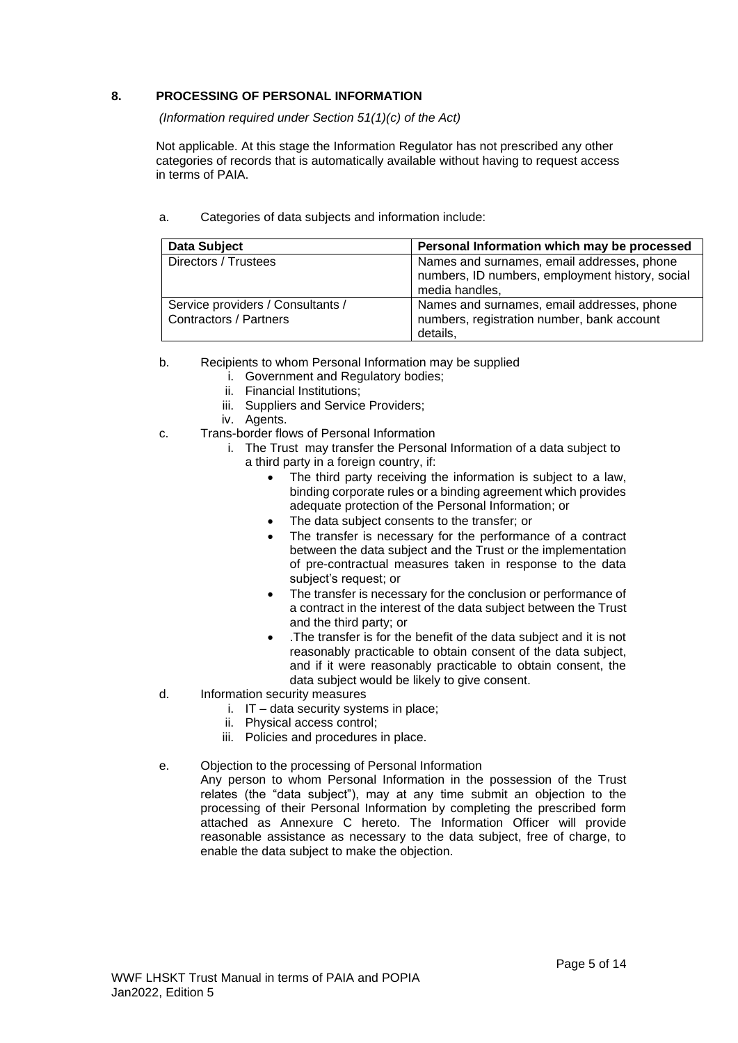### <span id="page-4-0"></span>**8. PROCESSING OF PERSONAL INFORMATION**

*(Information required under Section 51(1)(c) of the Act)*

Not applicable. At this stage the Information Regulator has not prescribed any other categories of records that is automatically available without having to request access in terms of PAIA.

| <b>Data Subject</b>                                                | Personal Information which may be processed                                                                     |
|--------------------------------------------------------------------|-----------------------------------------------------------------------------------------------------------------|
| Directors / Trustees                                               | Names and surnames, email addresses, phone<br>numbers, ID numbers, employment history, social<br>media handles, |
| Service providers / Consultants /<br><b>Contractors / Partners</b> | Names and surnames, email addresses, phone<br>numbers, registration number, bank account<br>details.            |

<span id="page-4-1"></span>a. Categories of data subjects and information include:

- <span id="page-4-2"></span>b. Recipients to whom Personal Information may be supplied
	- i. Government and Regulatory bodies;
	- ii. Financial Institutions;
	- iii. Suppliers and Service Providers;
	- iv. Agents.
- <span id="page-4-3"></span>c. Trans-border flows of Personal Information
	- i. The Trust may transfer the Personal Information of a data subject to a third party in a foreign country, if:
		- The third party receiving the information is subject to a law, binding corporate rules or a binding agreement which provides adequate protection of the Personal Information; or
		- The data subject consents to the transfer; or
		- The transfer is necessary for the performance of a contract between the data subject and the Trust or the implementation of pre-contractual measures taken in response to the data subject's request; or
		- The transfer is necessary for the conclusion or performance of a contract in the interest of the data subject between the Trust and the third party; or
		- .The transfer is for the benefit of the data subject and it is not reasonably practicable to obtain consent of the data subject, and if it were reasonably practicable to obtain consent, the data subject would be likely to give consent.
- <span id="page-4-4"></span>d. Information security measures
	- i. IT data security systems in place;
	- ii. Physical access control;
	- iii. Policies and procedures in place.
- <span id="page-4-5"></span>e. Objection to the processing of Personal Information
	- Any person to whom Personal Information in the possession of the Trust relates (the "data subject"), may at any time submit an objection to the processing of their Personal Information by completing the prescribed form attached as Annexure C hereto. The Information Officer will provide reasonable assistance as necessary to the data subject, free of charge, to enable the data subject to make the objection.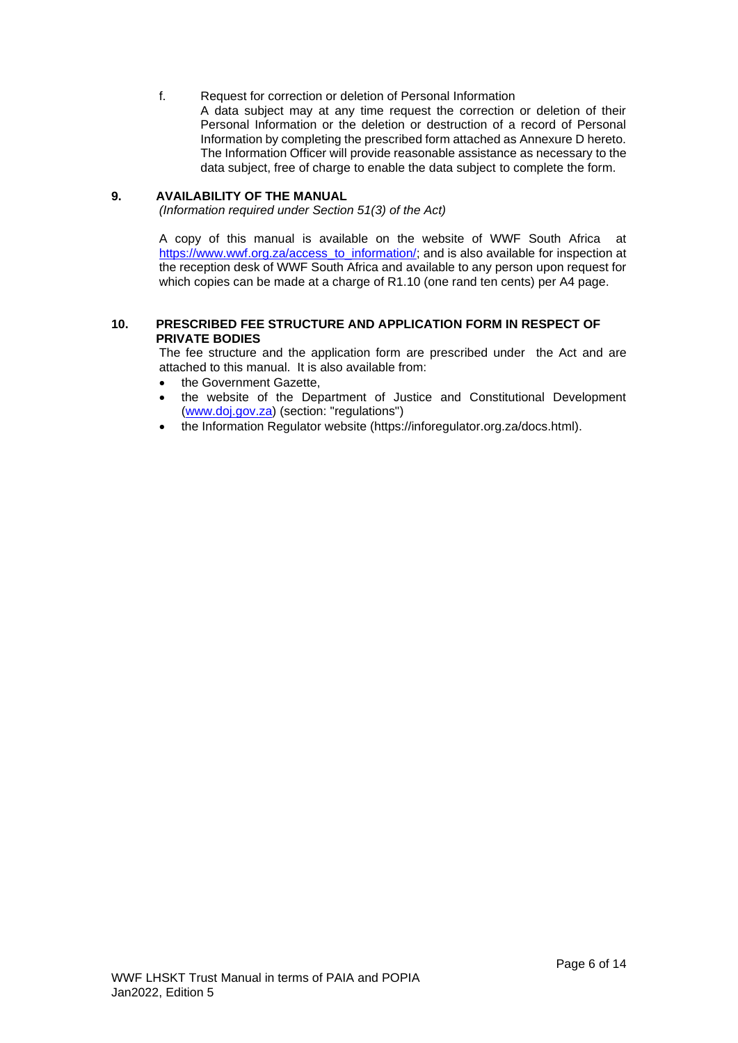<span id="page-5-0"></span>f. Request for correction or deletion of Personal Information A data subject may at any time request the correction or deletion of their Personal Information or the deletion or destruction of a record of Personal Information by completing the prescribed form attached as Annexure D hereto. The Information Officer will provide reasonable assistance as necessary to the data subject, free of charge to enable the data subject to complete the form.

### <span id="page-5-1"></span>**9. AVAILABILITY OF THE MANUAL**

*(Information required under Section 51(3) of the Act)*

A copy of this manual is available on the website of WWF South Africa at [https://www.wwf.org.za/access\\_to\\_information/;](https://www.wwf.org.za/access_to_information/) and is also available for inspection at the reception desk of WWF South Africa and available to any person upon request for which copies can be made at a charge of R1.10 (one rand ten cents) per A4 page.

### <span id="page-5-2"></span>**10. PRESCRIBED FEE STRUCTURE AND APPLICATION FORM IN RESPECT OF PRIVATE BODIES**

The fee structure and the application form are prescribed under the Act and are attached to this manual. It is also available from:

- the Government Gazette,
- the website of the Department of Justice and Constitutional Development [\(www.doj.gov.za\)](http://www.doj.gov.za/) (section: "regulations")
- the Information Regulator website (https://inforegulator.org.za/docs.html).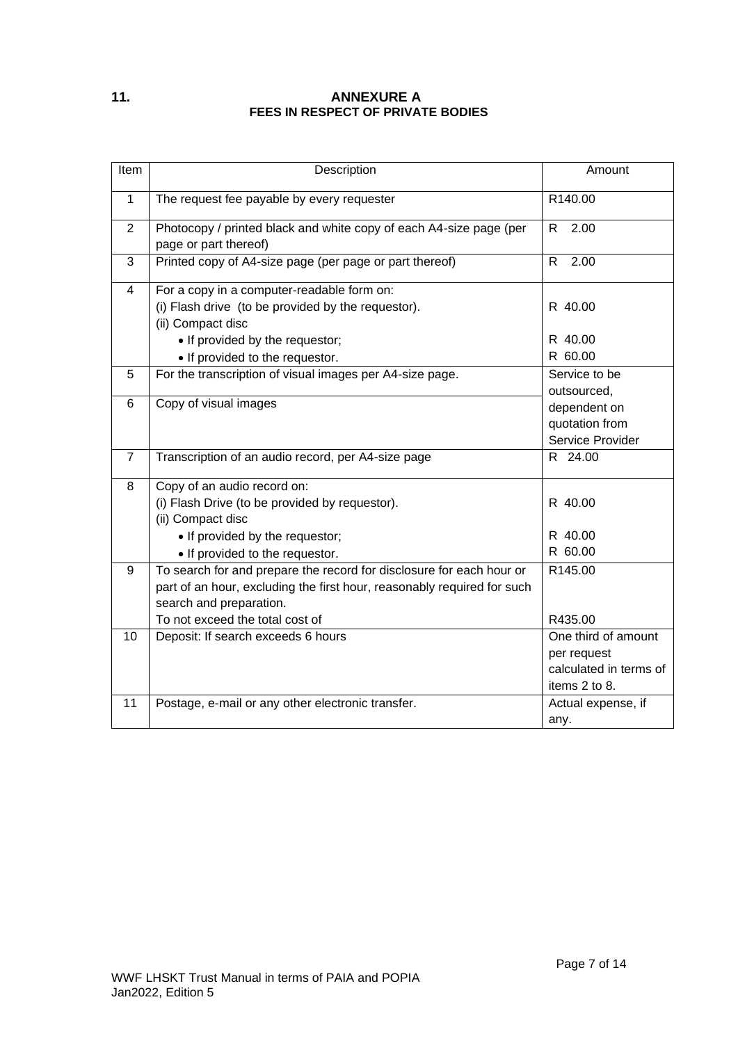# <span id="page-6-0"></span>**11. ANNEXURE A FEES IN RESPECT OF PRIVATE BODIES**

| Item           | Description                                                                                                                                                                                                   | Amount                                                                        |  |
|----------------|---------------------------------------------------------------------------------------------------------------------------------------------------------------------------------------------------------------|-------------------------------------------------------------------------------|--|
| $\mathbf{1}$   | The request fee payable by every requester                                                                                                                                                                    | R140.00                                                                       |  |
| $\overline{2}$ | Photocopy / printed black and white copy of each A4-size page (per<br>page or part thereof)                                                                                                                   | R<br>2.00                                                                     |  |
| 3              | Printed copy of A4-size page (per page or part thereof)                                                                                                                                                       | R.<br>2.00                                                                    |  |
| $\overline{4}$ | For a copy in a computer-readable form on:<br>(i) Flash drive (to be provided by the requestor).<br>(ii) Compact disc                                                                                         | R 40.00                                                                       |  |
|                | • If provided by the requestor;<br>• If provided to the requestor.                                                                                                                                            | R 40.00<br>R 60.00                                                            |  |
| 5              | For the transcription of visual images per A4-size page.                                                                                                                                                      | Service to be<br>outsourced,                                                  |  |
| 6              | Copy of visual images                                                                                                                                                                                         | dependent on<br>quotation from<br>Service Provider                            |  |
| $\overline{7}$ | Transcription of an audio record, per A4-size page                                                                                                                                                            | R 24.00                                                                       |  |
| 8              | Copy of an audio record on:<br>(i) Flash Drive (to be provided by requestor).<br>(ii) Compact disc<br>• If provided by the requestor;<br>• If provided to the requestor.                                      | R 40.00<br>R 40.00<br>R 60.00                                                 |  |
| 9              | To search for and prepare the record for disclosure for each hour or<br>part of an hour, excluding the first hour, reasonably required for such<br>search and preparation.<br>To not exceed the total cost of | R145.00<br>R435.00                                                            |  |
| 10             | Deposit: If search exceeds 6 hours                                                                                                                                                                            | One third of amount<br>per request<br>calculated in terms of<br>items 2 to 8. |  |
| 11             | Postage, e-mail or any other electronic transfer.                                                                                                                                                             | Actual expense, if<br>any.                                                    |  |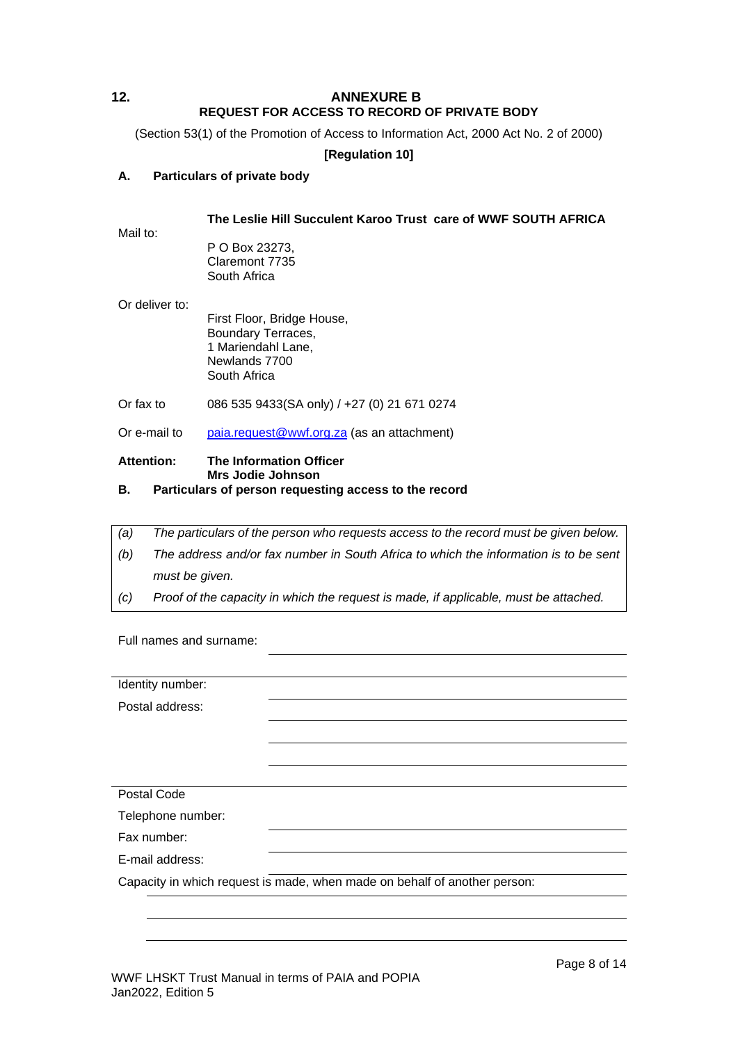# <span id="page-7-0"></span>**12. ANNEXURE B REQUEST FOR ACCESS TO RECORD OF PRIVATE BODY**

(Section 53(1) of the Promotion of Access to Information Act, 2000 Act No. 2 of 2000)

# **[Regulation 10]**

# **A. Particulars of private body**

### **The Leslie Hill Succulent Karoo Trust care of WWF SOUTH AFRICA**

P O Box 23273, Claremont 7735 South Africa

Or deliver to:

Mail to:

First Floor, Bridge House, Boundary Terraces, 1 Mariendahl Lane, Newlands 7700 South Africa

Or fax to 086 535 9433(SA only) / +27 (0) 21 671 0274

Or e-mail to [paia.request@wwf.org.za](mailto:paia.request@wwf.org.za) (as an attachment)

#### **Attention: The Information Officer Mrs Jodie Johnson**

# **B. Particulars of person requesting access to the record**

| (a) | The particulars of the person who requests access to the record must be given below. |
|-----|--------------------------------------------------------------------------------------|
| (b) | The address and/or fax number in South Africa to which the information is to be sent |
|     | must be given.                                                                       |
| (C) | Proof of the capacity in which the request is made, if applicable, must be attached. |

Full names and surname:

| Identity number:  |                                                                           |
|-------------------|---------------------------------------------------------------------------|
| Postal address:   |                                                                           |
|                   |                                                                           |
|                   |                                                                           |
|                   |                                                                           |
| Postal Code       |                                                                           |
| Telephone number: |                                                                           |
| Fax number:       |                                                                           |
| E-mail address:   |                                                                           |
|                   | Capacity in which request is made, when made on behalf of another person: |
|                   |                                                                           |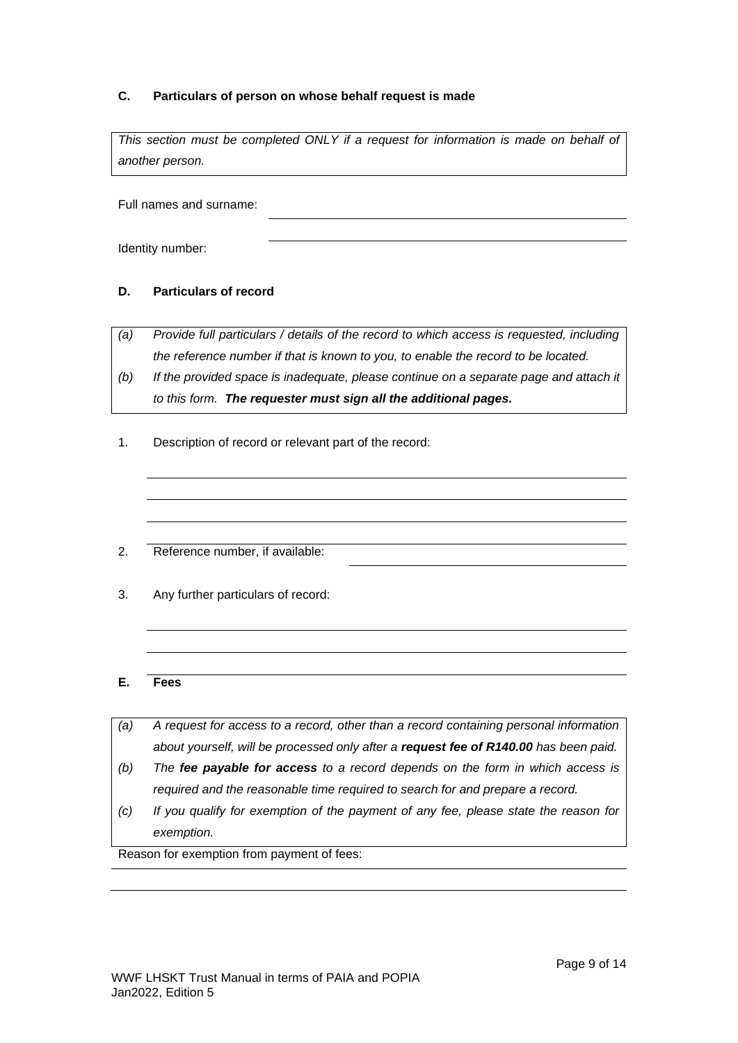# **C. Particulars of person on whose behalf request is made**

This section must be completed ONLY if a request for information is made on behalf of *another person.*

Full names and surname:

Identity number:

# **D. Particulars of record**

*(a) Provide full particulars / details of the record to which access is requested, including the reference number if that is known to you, to enable the record to be located.*

- *(b) If the provided space is inadequate, please continue on a separate page and attach it to this form. The requester must sign all the additional pages.*
- 1. Description of record or relevant part of the record:
- 2. Reference number, if available:
- 3. Any further particulars of record:

### **E. Fees**

- *(a) A request for access to a record, other than a record containing personal information about yourself, will be processed only after a request fee of R140.00 has been paid.*
- *(b) The fee payable for access to a record depends on the form in which access is required and the reasonable time required to search for and prepare a record.*
- *(c) If you qualify for exemption of the payment of any fee, please state the reason for exemption.*

Reason for exemption from payment of fees: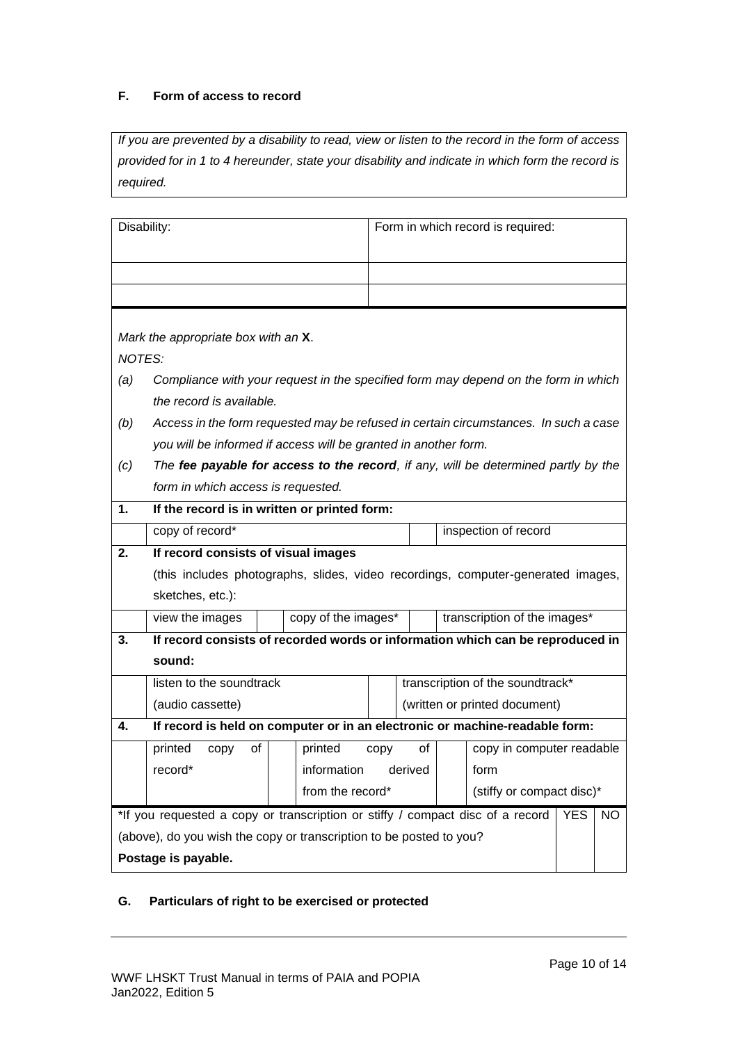# **F. Form of access to record**

*If you are prevented by a disability to read, view or listen to the record in the form of access provided for in 1 to 4 hereunder, state your disability and indicate in which form the record is required.*

| Disability:                                                                                         |                                                                                      |                                               |      |                                  |  | Form in which record is required: |  |  |
|-----------------------------------------------------------------------------------------------------|--------------------------------------------------------------------------------------|-----------------------------------------------|------|----------------------------------|--|-----------------------------------|--|--|
|                                                                                                     |                                                                                      |                                               |      |                                  |  |                                   |  |  |
|                                                                                                     |                                                                                      |                                               |      |                                  |  |                                   |  |  |
|                                                                                                     |                                                                                      |                                               |      |                                  |  |                                   |  |  |
| Mark the appropriate box with an X.                                                                 |                                                                                      |                                               |      |                                  |  |                                   |  |  |
| <b>NOTES:</b>                                                                                       |                                                                                      |                                               |      |                                  |  |                                   |  |  |
| (a)                                                                                                 | Compliance with your request in the specified form may depend on the form in which   |                                               |      |                                  |  |                                   |  |  |
|                                                                                                     | the record is available.                                                             |                                               |      |                                  |  |                                   |  |  |
| (b)                                                                                                 | Access in the form requested may be refused in certain circumstances. In such a case |                                               |      |                                  |  |                                   |  |  |
|                                                                                                     | you will be informed if access will be granted in another form.                      |                                               |      |                                  |  |                                   |  |  |
| (c)                                                                                                 | The fee payable for access to the record, if any, will be determined partly by the   |                                               |      |                                  |  |                                   |  |  |
|                                                                                                     | form in which access is requested.                                                   |                                               |      |                                  |  |                                   |  |  |
| 1.                                                                                                  | If the record is in written or printed form:                                         |                                               |      |                                  |  |                                   |  |  |
|                                                                                                     | copy of record*<br>inspection of record                                              |                                               |      |                                  |  |                                   |  |  |
| 2.                                                                                                  | If record consists of visual images                                                  |                                               |      |                                  |  |                                   |  |  |
|                                                                                                     | (this includes photographs, slides, video recordings, computer-generated images,     |                                               |      |                                  |  |                                   |  |  |
|                                                                                                     | sketches, etc.):                                                                     |                                               |      |                                  |  |                                   |  |  |
|                                                                                                     | view the images                                                                      | copy of the images*                           |      |                                  |  | transcription of the images*      |  |  |
| 3.                                                                                                  | If record consists of recorded words or information which can be reproduced in       |                                               |      |                                  |  |                                   |  |  |
|                                                                                                     | sound:                                                                               |                                               |      |                                  |  |                                   |  |  |
|                                                                                                     | listen to the soundtrack                                                             |                                               |      | transcription of the soundtrack* |  |                                   |  |  |
|                                                                                                     | (audio cassette)                                                                     |                                               |      |                                  |  | (written or printed document)     |  |  |
| 4.                                                                                                  | If record is held on computer or in an electronic or machine-readable form:          |                                               |      |                                  |  |                                   |  |  |
|                                                                                                     | printed<br>0f<br>copy                                                                | printed                                       | copy | of                               |  | copy in computer readable         |  |  |
|                                                                                                     | record*                                                                              | information derived                           |      |                                  |  | form                              |  |  |
|                                                                                                     |                                                                                      | from the record*<br>(stiffy or compact disc)* |      |                                  |  |                                   |  |  |
| *If you requested a copy or transcription or stiffy / compact disc of a record<br><b>YES</b><br>NO. |                                                                                      |                                               |      |                                  |  |                                   |  |  |
|                                                                                                     | (above), do you wish the copy or transcription to be posted to you?                  |                                               |      |                                  |  |                                   |  |  |
|                                                                                                     | Postage is payable.                                                                  |                                               |      |                                  |  |                                   |  |  |

# **G. Particulars of right to be exercised or protected**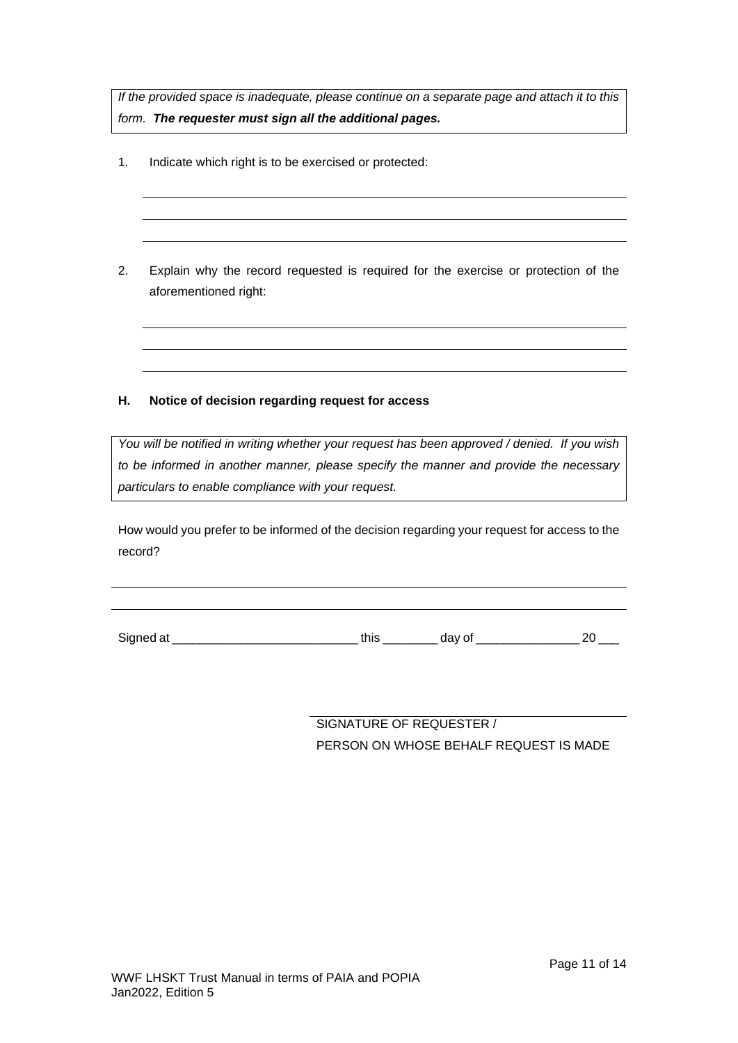*If the provided space is inadequate, please continue on a separate page and attach it to this form. The requester must sign all the additional pages.*

- 1. Indicate which right is to be exercised or protected:
- 2. Explain why the record requested is required for the exercise or protection of the aforementioned right:

# **H. Notice of decision regarding request for access**

*You will be notified in writing whether your request has been approved / denied. If you wish to be informed in another manner, please specify the manner and provide the necessary particulars to enable compliance with your request.*

How would you prefer to be informed of the decision regarding your request for access to the record?

Signed at \_\_\_\_\_\_\_\_\_\_\_\_\_\_\_\_\_\_\_\_\_\_\_\_\_\_\_ this \_\_\_\_\_\_\_\_ day of \_\_\_\_\_\_\_\_\_\_\_\_\_\_\_ 20 \_\_\_

SIGNATURE OF REQUESTER / PERSON ON WHOSE BEHALF REQUEST IS MADE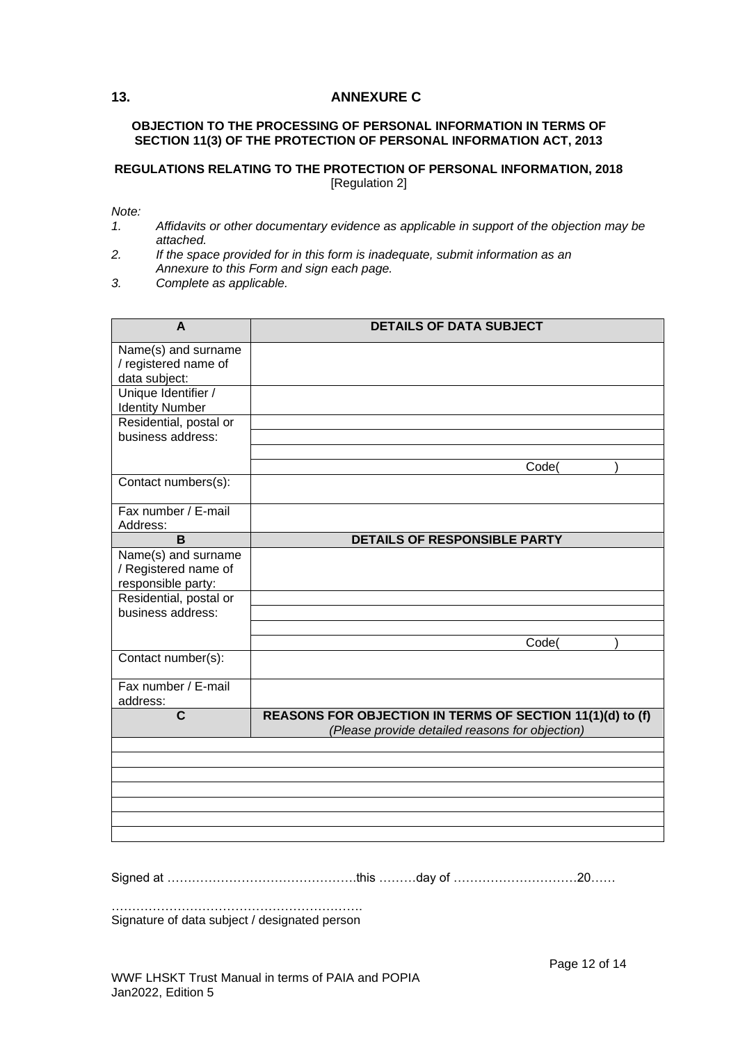## <span id="page-11-0"></span>**13. ANNEXURE C**

#### **OBJECTION TO THE PROCESSING OF PERSONAL INFORMATION IN TERMS OF SECTION 11(3) OF THE PROTECTION OF PERSONAL INFORMATION ACT, 2013**

### **REGULATIONS RELATING TO THE PROTECTION OF PERSONAL INFORMATION, 2018** [Regulation 2]

*Note:*

- *1. Affidavits or other documentary evidence as applicable in support of the objection may be attached.*
- *2. If the space provided for in this form is inadequate, submit information as an Annexure to this Form and sign each page.*
- *3. Complete as applicable.*

| $\overline{A}$                                                    | <b>DETAILS OF DATA SUBJECT</b>                                                                               |
|-------------------------------------------------------------------|--------------------------------------------------------------------------------------------------------------|
| Name(s) and surname<br>/ registered name of<br>data subject:      |                                                                                                              |
| Unique Identifier /<br><b>Identity Number</b>                     |                                                                                                              |
| Residential, postal or<br>business address:                       |                                                                                                              |
|                                                                   | Code(                                                                                                        |
| Contact numbers(s):                                               |                                                                                                              |
| Fax number / E-mail<br>Address:                                   |                                                                                                              |
| B                                                                 | DETAILS OF RESPONSIBLE PARTY                                                                                 |
| Name(s) and surname<br>/ Registered name of<br>responsible party: |                                                                                                              |
| Residential, postal or<br>business address:                       |                                                                                                              |
|                                                                   | Code(                                                                                                        |
| Contact number(s):                                                |                                                                                                              |
| Fax number / E-mail<br>address:                                   |                                                                                                              |
| $\mathbf c$                                                       | REASONS FOR OBJECTION IN TERMS OF SECTION 11(1)(d) to (f)<br>(Please provide detailed reasons for objection) |
|                                                                   |                                                                                                              |
|                                                                   |                                                                                                              |
|                                                                   |                                                                                                              |
|                                                                   |                                                                                                              |
|                                                                   |                                                                                                              |

Signed at ……………………………………….this ………day of …………………………20……

……………………………………………………. Signature of data subject / designated person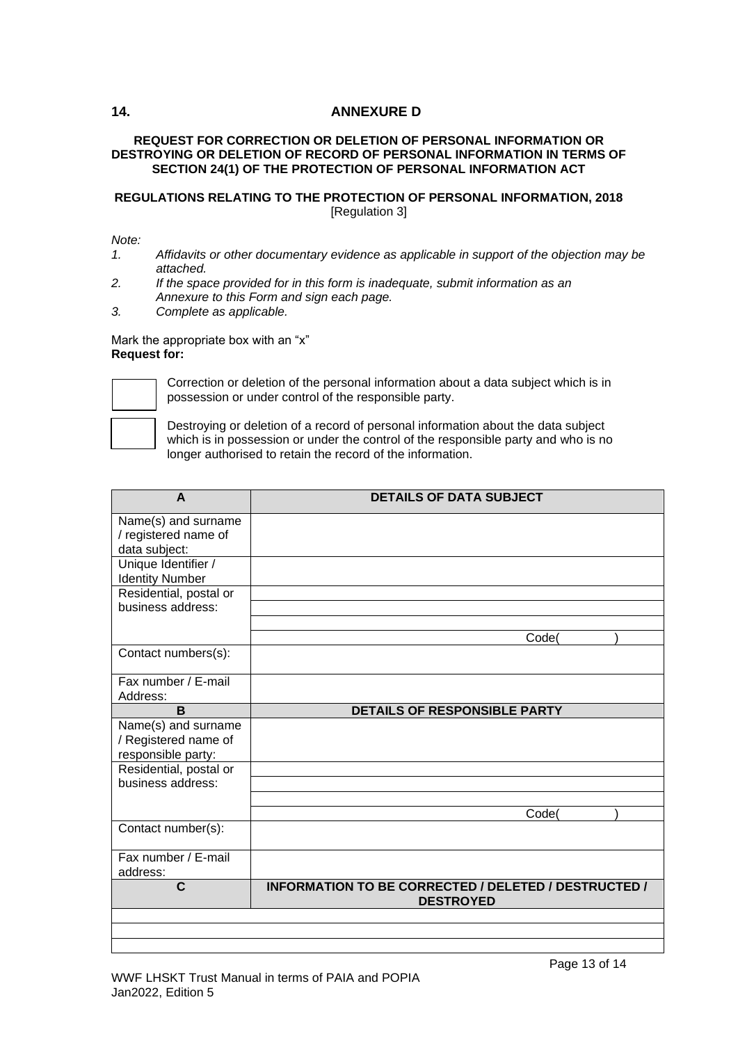# <span id="page-12-0"></span>**14. ANNEXURE D**

### **REQUEST FOR CORRECTION OR DELETION OF PERSONAL INFORMATION OR DESTROYING OR DELETION OF RECORD OF PERSONAL INFORMATION IN TERMS OF SECTION 24(1) OF THE PROTECTION OF PERSONAL INFORMATION ACT**

## **REGULATIONS RELATING TO THE PROTECTION OF PERSONAL INFORMATION, 2018** [Regulation 3]

### *Note:*

- *1. Affidavits or other documentary evidence as applicable in support of the objection may be attached.*
- *2. If the space provided for in this form is inadequate, submit information as an Annexure to this Form and sign each page.*
- *3. Complete as applicable.*

#### Mark the appropriate box with an "x" **Request for:**



Correction or deletion of the personal information about a data subject which is in possession or under control of the responsible party.

Destroying or deletion of a record of personal information about the data subject which is in possession or under the control of the responsible party and who is no longer authorised to retain the record of the information.

| A                                           | <b>DETAILS OF DATA SUBJECT</b>                       |
|---------------------------------------------|------------------------------------------------------|
| Name(s) and surname                         |                                                      |
| / registered name of                        |                                                      |
| data subject:                               |                                                      |
| Unique Identifier /                         |                                                      |
| <b>Identity Number</b>                      |                                                      |
| Residential, postal or                      |                                                      |
| business address:                           |                                                      |
|                                             |                                                      |
|                                             | Code(                                                |
| Contact numbers(s):                         |                                                      |
| Fax number / E-mail                         |                                                      |
| Address:                                    |                                                      |
| B                                           | <b>DETAILS OF RESPONSIBLE PARTY</b>                  |
| Name(s) and surname                         |                                                      |
| / Registered name of                        |                                                      |
| responsible party:                          |                                                      |
| Residential, postal or<br>business address: |                                                      |
|                                             |                                                      |
|                                             | Code(                                                |
| Contact number(s):                          |                                                      |
|                                             |                                                      |
| Fax number / E-mail                         |                                                      |
| address:                                    |                                                      |
| C                                           | INFORMATION TO BE CORRECTED / DELETED / DESTRUCTED / |
|                                             | <b>DESTROYED</b>                                     |
|                                             |                                                      |
|                                             |                                                      |